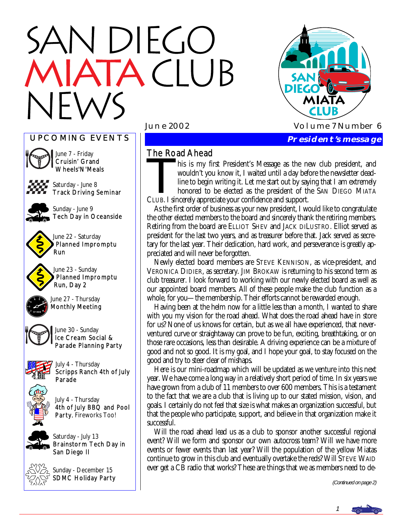# N DIEGO **TACLUB**





June 7 - Friday Cruisin' Grand Wheels'N'Meals



Saturday - June 8 Track Driving Seminar



Sunday - June 9 Tech Day in Oceanside



June 23 - Sunday Planned Impromptu Run, Day 2



June 27 - Thursday Monthly Meeting



June 30 - Sunday Ice Cream Social & Parade Planning Party





July 4 - Thursday 4th of July BBQ and Pool Party. Fireworks Too!

Saturday - July 13 Brainstorm Tech Day in San Diego II



Sunday - December 15 SDMC Holiday Party



#### The Road Ahead

The Road Ahead<br>his is my first President's Message as the new club president, and<br>wouldn't you know it, I waited until a day before the newsletter dead-<br>line to begin writing it. Let me start out by saying that I am extrem wouldn't you know it, I waited until a day before the newsletter deadline to begin writing it. Let me start out by saying that I am extremely honored to be elected as the president of the SAN DIEGO MIATA CLUB. I sincerely appreciate your confidence and support.

 As the first order of business as your new president, I would like to congratulate the other elected members to the board and sincerely thank the retiring members. Retiring from the board are ELLIOT SHEV and JACK DILUSTRO. Elliot served as president for the last two years, and as treasurer before that. Jack served as secretary for the last year. Their dedication, hard work, and perseverance is greatly appreciated and will never be forgotten.

 Newly elected board members are STEVE KENNISON, as vice-president, and VERONICA DIDIER, as secretary. JIM BROKAW is returning to his second term as club treasurer. I look forward to working with our newly elected board as well as our appointed board members. All of these people make the club function as a whole, for you—the membership. Their efforts cannot be rewarded enough.

 Having been at the helm now for a little less than a month, I wanted to share with you my vision for the road ahead. What does the road ahead have in store for us? None of us knows for certain, but as we all have experienced, that neverventured curve or straightaway can prove to be fun, exciting, breathtaking, or on those rare occasions, less than desirable. A driving experience can be a mixture of good and not so good. It is my goal, and I hope your goal, to stay focused on the good and try to steer clear of mishaps.

 Here is our mini-roadmap which will be updated as we venture into this next year. We have come a long way in a relatively short period of time. In six years we have grown from a club of 11 members to over 600 members. This is a testament to the fact that we are a club that is living up to our stated mission, vision, and goals. I certainly do not feel that size is what makes an organization successful, but that the people who participate, support, and believe in that organization make it successful.

 Will the road ahead lead us as a club to sponsor another successful regional event? Will we form and sponsor our own autocross team? Will we have more events or fewer events than last year? Will the population of the yellow Miatas continue to grow in this club and eventually overtake the reds? Will STEVE WAID ever get a CB radio that works? These are things that we as members need to de-

(Continued on page 2)

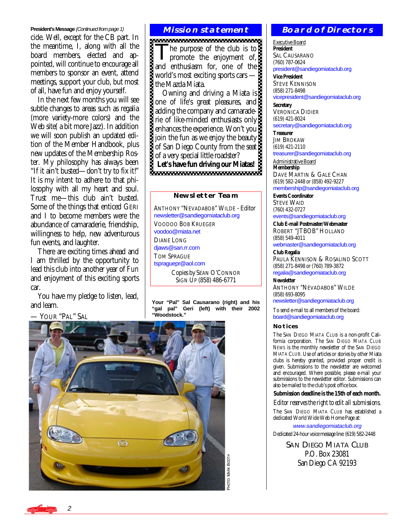#### **President's Message** (Continued from page 1)

cide. Well, except for the CB part. In the meantime, I, along with all the board members, elected and appointed, will continue to encourage all members to sponsor an event, attend meetings, support your club, but most of all, have fun and enjoy yourself.

 In the next few months you will see subtle changes to areas such as regalia (more variety-more colors) and the Web site( a bit more Jazz). In addition we will soon publish an updated edition of the Member Handbook, plus new updates of the Membership Roster. My philosophy has always been "If it ain't busted—don't try to fix it!" It is my intent to adhere to that philosophy with all my heart and soul. Trust me—this club ain't busted. Some of the things that enticed GERI and I to become members were the abundance of camaraderie, friendship, willingness to help, new adventurous fun events, and laughter.

 There are exciting times ahead and I am thrilled by the opportunity to lead this club into another year of *Fun* and enjoyment of this exciting sports car.

 You have my pledge to listen, lead, and learn.

YOUR "PAL" SAL

#### **Mission statement**

The purpose of the club is to<br>promote the enjoyment of, and enthusiasm for, one of the world's most exciting sports cars the Mazda Miata.

 Owning and driving a Miata is one of life's great pleasures, and adding the company and camaraderie of like-minded enthusiasts only enhances the experience. Won't you join the fun as we enjoy the beauty of San Diego County from the seat of a very special little roadster? Let's have fun driving our Miatas!

#### **Newsletter Team**

ANTHONY "NEVADABOB" WILDE - Editor [newsletter@sandiegomiataclub.org](mailto:newsletter@sandiegomiataclub.org)  VOODOO BOB KRUEGER [voodoo@miata.net](mailto:voodoo@miata.net)  DIANE LONG [djaws@san.rr.com](mailto:djaws@san.rr.com)  TOM SPRAGUE [tspraguepr@aol.com](mailto:tspraguepr@aol.com)  Copies by SEAN O'CONNOR

SIGN UP (858) 486-6771

**Your "Pal" Sal Causarano (right) and his "gal pal" Geri (left) with their 2002 "Woodstock."** 



#### **Board of Directors**

Executive Board **President**  SAL CAUSARANO (760) 787-0624 [president@sandiegomiataclub.org](mailto:president@sandiegomiataclub.org) 

**Vice President**  STEVE KENNISON (858) 271-8498 [vicepresident@sandiegomiataclub.org](mailto:vicepresident@sandiegomiataclub.org) 

**Secretary**  VERONICA DIDIER (619) 421-8024 [secretary@sandiegomiataclub.org](mailto:secretary@sandiegomiataclub.org) 

**Treasurer JIM BROKAW** (619) 421-2110

[treasurer@sandiegomiataclub.org](mailto:treasurer@sandiegomiataclub.org) 

Administrative Board **Membership**  DAVE MARTIN & GALE CHAN (619) 582-2448 or (858) 492-9227 [membership@sandiegomiataclub.org](mailto:membership@sandiegomiataclub.org) 

**Events Coordinator**  STEVE WAID (760) 432-0727 [events@sandiegomiataclub.org](mailto:events@sandiegomiataclub.org) 

**Club E-mail Postmaster/Webmaster**  ROBERT "JTBOB" HOLLAND (858) 549-4011 [webmaster@sandiegomiataclub.org](mailto:webmaster@sandiegomiataclub.org) 

**Club Regalia**  PAULA KENNISON & ROSALIND SCOTT (858) 271-8498 or (760) 789-3872 [regalia@sandiegomiataclub.org](mailto:regalia@sandiegomiataclub.org) 

**Newsletter**  ANTHONY "NEVADABOB" WILDE (858) 693-8095

[newsletter@sandiegomiataclub.org](mailto:newsletter@sandiegomiataclub.org)

To send e-mail to all members of the board: [board@sandiegomiataclub.org](mailto:board@sandiegomiataclub.org) 

#### **Notices**

The SAN DIEGO MIATA CLUB is a non-profit California corporation. The *SAN DIEGO MIATA CLUB NEWS* is the monthly newsletter of the SAN DIEGO MIATA CLUB. Use of articles or stories by other Miata clubs is hereby granted, provided proper credit is given. Submissions to the newsletter are welcomed and encouraged. Where possible, please e-mail your submissions to the newsletter editor. Submissions can also be mailed to the club's post office box.

#### **Submission deadline is the 15th of each month.**

*Editor reserves the right to edit all submissions.*

The SAN DIEGO MIATA CLUB has established a dedicated World Wide Web Home Page at:

[www.sandiegomiataclub.org](http://www.sandiegomiataclub.org) 

Dedicated 24-hour voice message line: (619) 582-2448

SAN DIEGO MIATA CLUB P.O. Box 23081 San Diego CA 92193

2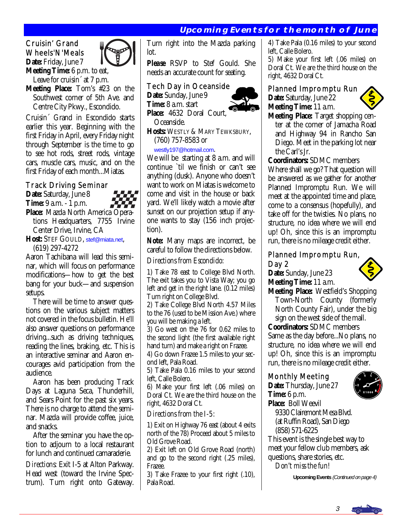#### **Upcoming Events for the month of June**

#### Cruisin' Grand Wheels'N'Meals **Date:** Friday, June 7

**Meeting Time:** 6 p.m. to eat,

Leave for cruisin<sup> $\alpha$ </sup> at 7 p.m. **Meeting Place:** Tom's #23 on the

 Southwest corner of 5th Ave. and Centre City Pkwy., Escondido.

Cruisin´ Grand in Escondido starts earlier this year. Beginning with the first Friday in April, every Friday night through September is the time to go to see hot rods, street rods, vintage cars, muscle cars, music, and on the first Friday of each month...Miatas.

#### Track Driving Seminar

**Date:** Saturday, June 8 **Time:** 9 a.m. - 1 p.m. **Place:** Mazda North America Opera tions Headquarters, 7755 Irvine Center Drive, Irvine, CA

**Host:** STEF GOULD, [stef@miata.net](mailto:stef@miata.net), (619) 297-4272

Aaron Tachibana will lead this seminar, which will focus on performance modifications—how to get the best bang for your buck—and suspension setups.

 There will be time to answer questions on the various subject matters not covered in the focus bulletin. He'll also answer questions on performance driving...such as driving techniques, reading the lines, braking, etc. This is an interactive seminar and Aaron encourages avid participation from the audience.

 Aaron has been producing Track Days at Laguna Seca, Thunderhill, and Sears Point for the past six years. There is no charge to attend the seminar. Mazda will provide coffee, juice, and snacks.

 After the seminar you have the option to adjourn to a local restaurant for lunch and continued camaraderie.

*Directions:* Exit I-5 at Alton Parkway. Head west (toward the Irvine Spectrum). Turn right onto Gateway. Turn right into the Mazda parking lot.

*Please* RSVP to Stef Gould. She needs an accurate count for seating.

#### Tech Day in Oceanside

**Date:** Sunday, June 9 **Time:** 8 a.m. start

**Place:** 4632 Doral Court, Oceanside.

**Hosts:** WESTLY & MARY TEWKSBURY,

(760) 757-8583 or

[westly197@hotmail.com](mailto:westly197@hotmail.com).

We will be starting at 8 a.m. and will continue `til we finish or can't see anything (dusk). Anyone who doesn't want to work on Miatas is welcome to come and visit in the house or back yard. We'll likely watch a movie after sunset on our projection setup if anyone wants to stay (156 inch projection).

*Note:* Many maps are incorrect, be careful to follow the directions below.

#### *Directions from Escondido:*

1) Take 78 east to College Blvd North. The exit takes you to Vista Way; you go left and get in the right lane. (0.12 miles) Turn right on College Blvd.

2) Take College Blvd North 4.57 Miles to the 76 (used to be Mission Ave.) where you will be making a left.

3) Go west on the 76 for 0.62 miles to the second light (the first available right hand turn) and make a right on Frazee.

4) Go down Frazee 1.5 miles to your second left, Pala Road.

5) Take Pala 0.16 miles to your second left, Calle Bolero.

6) Make your first left (.06 miles) on Doral Ct. We are the third house on the right, 4632 Doral Ct.

#### *Directions from the I-5:*

1) Exit on Highway 76 east (about 4 exits north of the 78) Proceed about 5 miles to Old Grove Road.

2) Exit left on Old Grove Road (north) and go to the second right (.25 miles), Frazee.

3) Take Frazee to your first right (.10), Pala Road.

4) Take Pala (0.16 miles) to your second left, Calle Bolero.

5) Make your first left (.06 miles) on Doral Ct. We are the third house on the right, 4632 Doral Ct.

#### Planned Impromptu Run

**Date:** Saturday, June 22 **Meeting Time:** 11 a.m.



**Meeting Place:** Target shopping cen ter at the corner of Jamacha Road and Highway 94 in Rancho San Diego. Meet in the parking lot near the Carl's Jr.

**Coordinators:** SDMC members

Where shall we go? That question will be answered as we gather for another Planned Impromptu Run. We will meet at the appointed time and place, come to a consensus (hopefully), and take off for the twisties. No plans, no structure, no idea where we will end up! Oh, since this is an impromptu run, there is no mileage credit either.

#### Planned Impromptu Run, Day 2

**Date:** Sunday, June 23 **Meeting Time:** 11 a.m.



**Meeting Place:** Westfield's Shopping Town-North County (formerly North County Fair), under the big sign on the west side of the mall.

**Coordinators:** SDMC members Same as the day before...No plans, no structure, no idea where we will end up! Oh, since this is an impromptu run, there is no mileage credit either.

#### Monthly Meeting

**Date:** Thursday, June 27 **Time:** 6 p.m.



**Place:** Boll Weevil 9330 Clairemont Mesa Blvd. (at Ruffin Road), San Diego (858) 571-6225

This event is the single best way to meet your fellow club members, ask questions, share stories, etc.

*Don't miss the fun!* 

**Upcoming Events** (Continued on page 4)

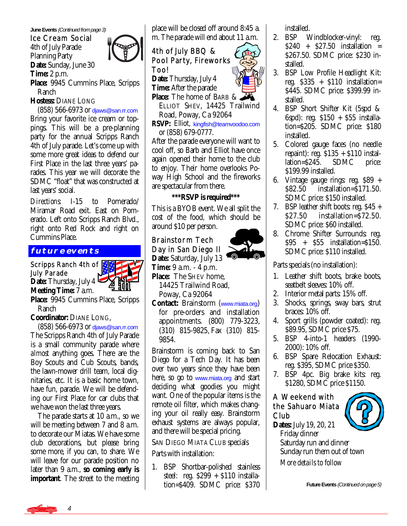**June Events (Continued from page 3)** 

Ice Cream Social 4th of July Parade Planning Party **Date:** Sunday, June 30 **Time:** 2 p.m.



**Place:** 9945 Cummins Place, Scripps Ranch

**Hostess:** DIANE LONG

 (858) 566-6973 or [djaws@san.rr.com](mailto:djaws@san.rr.com) Bring your favorite ice cream or toppings. This will be a pre-planning party for the annual Scripps Ranch 4th of July parade. Let's come up with some more great ideas to defend our First Place in the last three years' parades. This year we will decorate the SDMC "float" that was constructed at last years' social.

*Directions:* I-15 to Pomerado/ Miramar Road exit. East on Pomerado. Left onto Scripps Ranch Blvd., right onto Red Rock and right on Cummins Place.

#### **future events**

#### Scripps Ranch 4th of July Parade **Date:** Thursday, July 4

**Meeting Time:** 7 a.m.



**Place:** 9945 Cummins Place, Scripps Ranch

**Coordinator:** DIANE LONG,

 (858) 566-6973 or [djaws@san.rr.com](mailto:djaws@san.rr.com)  The Scripps Ranch 4th of July Parade is a small community parade where *almost* anything goes. There are the Boy Scouts and Cub Scouts, bands, the lawn-mower drill team, local dignitaries, etc. It is a basic home town, have fun, parade. We will be defending our First Place for car clubs that we have won the last three years.

 The parade starts at 10 a.m., so we will be meeting between 7 and 8 a.m. to decorate our Miatas. We have some club decorations, but please bring some more, if you can, to share. We will leave for our parade position no later than 9 a.m., **so coming early is important**. The street to the meeting

place will be closed off around 8:45 a. m. The parade will end about 11 a.m.

#### 4th of July BBQ & Pool Party, Fireworks Too!

**Date:** Thursday, July 4 **Time:** After the parade **Place:** The home of BARB &

 ELLIOT SHEV, 14425 Trailwind Road, Poway, Ca 92064

**RSVP:** Elliot, [kingfish@teamvoodoo.com](mailto:kingfish@teamvoodoo.com) or (858) 679-0777.

After the parade everyone will want to cool off, so Barb and Elliot have once again opened their home to the club to enjoy. Their home overlooks Poway High School and the fireworks are spectacular from there.

#### **\*\*\*RSVP is required\*\*\***

This is a BYOB event. We all split the cost of the food, which should be around \$10 per person.

#### Brainstorm Tech Day in San Diego II

**Date:** Saturday, July 13 **Time:** 9 a.m. - 4 p.m. **Place:** The SHEV home,

 14425 Trailwind Road, Poway, Ca 92064

**Contact:** Brainstorm ([www.miata.org](http://www.miata.org)) for pre-orders and installation appointments. (800) 779-3223, (310) 815-9825-Fax (310) 815- 9854.

Brainstorm is coming back to San Diego for a Tech Day. It has been over two years since they have been here, so go to [www.miata.org](http://www.miata.org) and start deciding what goodies you might want. One of the popular items is the remote oil filter, which makes changing your oil really easy. Brainstorm exhaust systems are always popular, and there will be special pricing.

#### SAN DIEGO MIATA CLUB specials

Parts with installation:

1. BSP Shortbar-polished stainless steel: reg. \$299 + \$110 installation=\$409. SDMC price: \$370 installed.

- 2. BSP Windblocker-vinyl: reg. \$240 + \$27.50 installation = \$267.50. SDMC price: \$230 installed.
- 3. BSP Low Profile Headlight Kit: reg. \$335 + \$110 installation= \$445. SDMC price: \$399.99 installed.
- 4. BSP Short Shifter Kit (5spd & 6spd): reg. \$150 + \$55 installation=\$205. SDMC price: \$180 installed.
- 5. Colored gauge faces (no needle repaint): reg.  $$135 + $110$  installation= $$245$ . SDMC price:  $lation = $245$ .  $SDMC$  price: \$199.99 installed.
- 6. Vintage gauge rings: reg. \$89 + \$82.50 installation=\$171.50. SDMC price: \$150 installed.
- 7. BSP leather shift boots: reg. \$45 + \$27.50 installation=\$72.50. SDMC price: \$60 installed.
- 8. Chrome Shifter Surrounds: reg. \$95 + \$55 installation=\$150. SDMC price: \$110 installed.

Parts specials (no installation):

- 1. Leather shift boots, brake boots, seatbelt sleeves: 10% off.
- 2. Interior metal parts: 15% off.
- 3. Shocks, springs, sway bars, strut braces: 10% off.
- 4. Sport grills (powder coated): reg. \$89.95, SDMC price \$75.
- 5. BSP 4-into-1 headers (1990- 2000): 10% off.
- 6. BSP Spare Relocation Exhaust: reg. \$395, SDMC price \$350.
- 7. BSP 4pc. Big brake kits: reg. \$1280, SDMC price \$1150.

#### A Weekend with the Sahuaro Miata Club



**Dates:** July 19, 20, 21 Friday dinner Saturday run and dinner Sunday run them out of town *More details to follow*

Future Events (Continued on page 5)



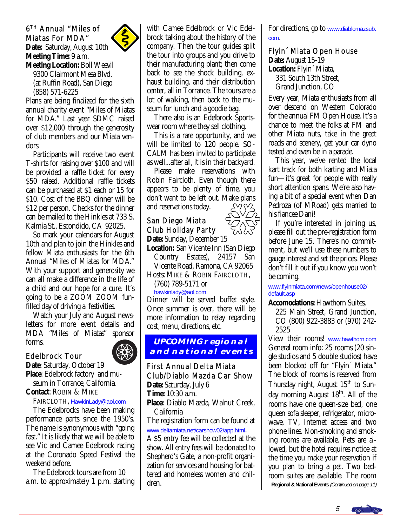#### 6TH Annual "Miles of Miatas For MDA"



**Date:** Saturday, August 10th **Meeting Time:** 9 a.m. **Meeting Location:** Boll Weevil 9300 Clairmont Mesa Blvd. (at Ruffin Road), San Diego (858) 571-6225

Plans are being finalized for the sixth annual charity event "Miles of Miatas for MDA." Last year SDMC raised over \$12,000 through the generosity of club members and our Miata vendors.

 Participants will receive two event T-shirts for raising over \$100 and will be provided a raffle ticket for every \$50 raised. Additional raffle tickets can be purchased at \$1 each or 15 for \$10. Cost of the BBQ dinner will be \$12 per person. Checks for the dinner can be mailed to the Hinkles at 733 S. Kalmia St., Escondido, CA 92025.

 So mark your calendars for August 10th and plan to join the Hinkles and fellow Miata enthusiasts for the 6th Annual "Miles of Miatas for MDA." With your support and generosity we can all make a difference in the life of a child and our hope for a cure. It's going to be a *ZOOM ZOOM* funfilled day of driving a festivities.

 Watch your July and August newsletters for more event details and MDA "Miles of Miatas" sponsor forms. Î

#### Edelbrock Tour

**Date**: Saturday, October 19 **Place**: Edelbrock factory and mu seum in Torrance, California.

**Contact**: ROBIN & MIKE

#### FAIRCLOTH, [HawkinLady@aol.com](mailto:hawkinlady@aol.com)

 The Edelbrocks have been making performance parts since the 1950's. The name is synonymous with "going fast." It is likely that we will be able to see Vic and Camee Edelbrock racing at the Coronado Speed Festival the weekend before.

 The Edelbrock tours are from 10 a.m. to approximately 1 p.m. starting with Camee Edelbrock or Vic Edelbrock talking about the history of the company. Then the tour guides split the tour into groups and you drive to their manufacturing plant; then come back to see the shock building, exhaust building, and their distribution center, all in Torrance. The tours are a lot of walking, then back to the museum for lunch and a goodie bag.

 There also is an Edelbrock Sportswear room where they sell clothing.

 This is a rare opportunity, and we will be limited to 120 people. SO-CALM has been invited to participate as well...after all, it is in their backyard.

 Please make reservations with Robin Faircloth. Even though there appears to be plenty of time, you don't want to be left out. Make plans and reservations today.

#### San Diego Miata Club Holiday Party **Date:** Sunday, December 15

**Location:** San Vicente Inn (San Diego Country Estates), 24157 San Vicente Road, Ramona, CA 92065 Hosts: MIKE & ROBIN FAIRCLOTH,

(760) 789-5171 or

#### [hawkinlady@aol.com](mailto:hawkinlady@aol.com)

Dinner will be served buffet style. Once summer is over, there will be more information to relay regarding cost, menu, directions, etc.

#### **UPCOMING regional and national events**

#### First Annual Delta Miata Club/Diablo Mazda Car Show **Date:** Saturday, July 6

**Time:** 10:30 a.m.

**Place:** Diablo Mazda, Walnut Creek, California

The registration form can be found at [www.deltamiata.net/carshow02/app.html](http://www.deltamiata.net/carshow02/app.html).

A \$5 entry fee will be collected at the show. All entry fees will be donated to Shepherd's Gate, a non-profit organization for services and housing for battered and homeless women and children.

For directions, go to [www.diablomazsub.](http://www.diablomazsub.com) [com](http://www.diablomazsub.com).

#### Flyin´ Miata Open House

**Date:** August 15-19 **Location:** Flyin´ Miata, 331 South 13th Street, Grand Junction, CO

Every year, Miata enthusiasts from all over descend on Western Colorado for the annual FM Open House. It's a chance to meet the folks at FM and other Miata nuts, take in the great roads and scenery, get your car dyno tested and even be in a parade.

 This year, we've rented the local kart track for both karting and Miata fun—it's great for people with really short attention spans. We're also having a bit of a special event when Dan Pedroza (of MRoad) gets married to his fiancee Dani!

 If you're interested in joining us, please fill out the pre-registration form before June 15. There's no commitment, but we'll use these numbers to gauge interest and set the prices. Please don't fill it out if you know you won't be coming.

[www.flyinmiata.com/news/openhouse02/](http://www.flyinmiata.com/news/openhouse02/default.asp) [default.asp](http://www.flyinmiata.com/news/openhouse02/default.asp) 

**Accomodations:** Hawthorn Suites,

 225 Main Street, Grand Junction, CO (800) 922-3883 or (970) 242- 2525

View their rooms! [www.hawthorn.com](http://www.hawthorn.com) General room info: 25 rooms (20 single studios and 5 double studios) have been blocked off for "Flyin´ Miata." The block of rooms is reserved from Thursday night, August  $15<sup>th</sup>$  to Sunday morning August 18<sup>th</sup>. All of the rooms have one queen-size bed, one queen sofa sleeper, refrigerator, microwave, TV, Internet access and two phone lines. Non-smoking and smoking rooms are available. Pets are allowed, but the hotel requires notice at the time you make your reservation if you plan to bring a pet. Two bedroom suites are available. The room **Regional & National Events** (Continued on page 11)



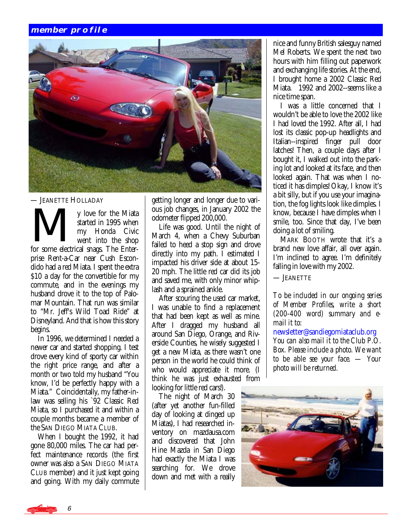#### **member profile**



#### — JEANETTE HOLLADAY

- JEANETTE HOLLADAY<br>
y love for the Miata<br>
started in 1995 when<br>
my Honda Civic<br>
went into the shop started in 1995 when my Honda Civic went into the shop for some electrical snags. The Enterprise Rent-a-Car near Cush Escondido had a red Miata. I spent the extra \$10 a day for the convertible for my commute, and in the evenings my husband drove it to the top of Palomar Mountain. That run was similar to "Mr. Jeff's Wild Toad Ride" at Disneyland. And that is how this story begins.

 In 1996, we determined I needed a newer car and started shopping. I test drove every kind of sporty car within the right price range, and after a month or two told my husband "You know, I'd be perfectly happy with a Miata." Coincidentally, my father-inlaw was selling his `92 Classic Red Miata, so I purchased it and within a couple months became a member of the SAN DIEGO MIATA CLUB.

 When I bought the 1992, it had gone 80,000 miles. The car had perfect maintenance records (the first owner was also a SAN DIEGO MIATA CLUB member) and it just kept going and going. With my daily commute getting longer and longer due to various job changes, in January 2002 the odometer flipped 200,000.

 Life was good. Until the night of March 4, when a Chevy Suburban failed to heed a stop sign and drove directly into my path. I estimated I impacted his driver side at about 15- 20 mph. The little red car did its job and saved me, with only minor whiplash and a sprained ankle.

 After scouring the used car market, I was unable to find a replacement that had been kept as well as mine. After I dragged my husband all around San Diego, Orange, and Riverside Counties, he wisely suggested I get a new Miata, as there wasn't one person in the world he could think of who would appreciate it more. (I think he was just exhausted from looking for little red cars!).

 The night of March 30 (after yet another fun-filled day of looking at dinged up Miatas), I had researched inventory on mazdausa.com and discovered that John Hine Mazda in San Diego had exactly the Miata I was searching for. We drove down and met with a really

nice and funny British salesguy named Mel Roberts. We spent the next two hours with him filling out paperwork and exchanging life stories. At the end, I brought home a 2002 Classic Red Miata. 1992 and 2002--seems like a nice time span.

 I was a little concerned that I wouldn't be able to love the 2002 like I had loved the 1992. After all, I had lost its classic pop-up headlights and Italian--inspired finger pull door latches! Then, a couple days after I bought it, I walked out into the parking lot and looked at its face, and then looked again. That was when I noticed it has dimples! Okay, I know it's a bit silly, but if you use your imagination, the fog lights look like dimples. I know, because I have dimples when I smile, too. Since that day, I've been doing a lot of smiling.

 MARK BOOTH wrote that it's a brand new love affair, all over again. I'm inclined to agree. I'm definitely falling in love with my 2002.

— JEANETTE

*To be included in our ongoing series of Member Profiles, write a short (200-400 word) summary and email it to:* 

[newsletter@sandiegomiataclub.org](mailto:newsletter@sandiegomiataclub.org) *You can also mail it to the Club P.O. Box. Please include a photo. We want to be able see your face. — Your photo will be returned.*



6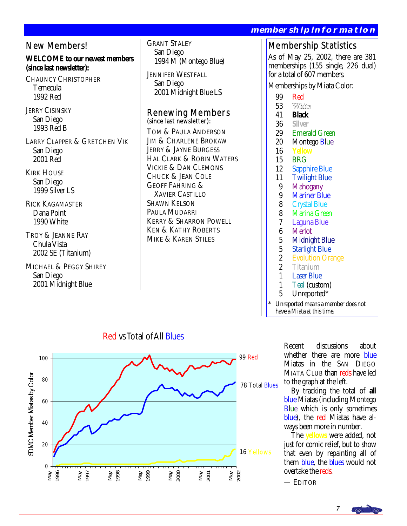New Members!

**WELCOME to our newest members (since last newsletter):** 

CHAUNCY CHRISTOPHER Temecula 1992 Red

JERRY CISINSKY San Diego 1993 Red B

LARRY CLAPPER & GRETCHEN VIK San Diego 2001 Red

**KIRK HOUSE**  San Diego 1999 Silver LS

RICK KAGAMASTER Dana Point 1990 White

TROY & JEANNE RAY Chula Vista 2002 SE (Titanium)

MICHAEL & PEGGY SHIREY San Diego 2001 Midnight Blue

 San Diego 2001 Midnight Blue LS

## Renewing Members (since last newsletter):

TOM & PAULA ANDERSON JIM & CHARLENE BROKAW JERRY & JAYNE BURGESS HAL CLARK & ROBIN WATERS VICKIE & DAN CLEMONS CHUCK & JEAN COLE GEOFF FAHRING & XAVIER CASTILLO SHAWN KELSON PAULA MUDARRI KERRY & SHARRON POWELL KEN & KATHY ROBERTS MIKE & KAREN STILES

#### **membership information**

### Membership Statistics

As of May 25, 2002, there are 381 memberships (155 single, 226 dual) for a total of 607 members.

Memberships by Miata Color:

- 
- 99 Red<br>53 White 53
- 41 **Black**
- 36 **Silver**
- 29 Emerald Green
- 20 Montego Blue<br>16 Yellow
- **Yellow**
- 
- 15 BRG<br>12 Sappl **Sapphire Blue**
- 11 Twilight Blue<br>9 Mahogany
- 9 Mahogany<br>9 Mariner Bl
- 9 Mariner Blue<br>8 Crystal Blue
- 8 Crystal Blue<br>8 Marina Gree
- 8 Marina Green<br>7 Laguna Blue
- 7 Laguna Blue
- 6 Merlot<br>5 Midnig
- 5 Midnight Blue<br>5 Starlight Blue
- 5 Starlight Blue<br>2 Evolution Ora
- 2 Evolution Orange<br>2 Titanium
- 2 Titanium<br>1 **Laser Blue**
- 1 Laser Blue<br>1 Teal (custo
- 1 Teal (custom)<br>5 Unreported\*
- Unreported\*
- Unreported means a member does not have a Miata at this time.



Red vs Total of All Blues

Recent discussions about whether there are more blue Miatas in the SAN DIEGO MIATA CLUB than reds have led to the graph at the left.

 By tracking the total of **all** blue Miatas (including Montego Blue which is only sometimes blue), the red Miatas have always been more in number.

 The **yellows** were added, not just for comic relief, but to show that even by repainting all of them blue, the blues would not overtake the reds.

— EDITOR

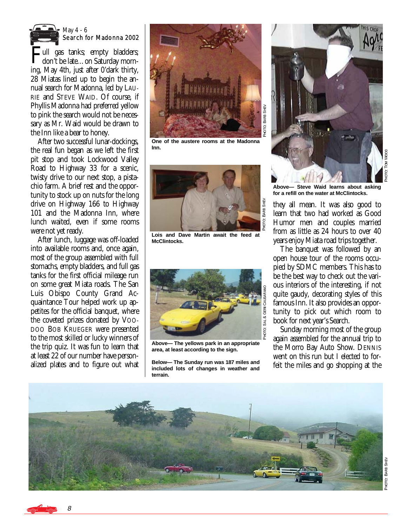

#### May 4 - 6 Search for Madonna 2002

Full gas tanks; empty bladders; don't be late...on Saturday morning, May 4th, just after 0'dark thirty, 28 Miatas lined up to begin the annual search for Madonna, led by LAU-RIE and STEVE WAID. Of course, if Phyllis Madonna had preferred yellow to pink the search would not be necessary as Mr. Waid would be drawn to the Inn like a bear to honey.

 After two successful lunar-dockings, the real fun began as we left the first pit stop and took Lockwood Valley Road to Highway 33 for a scenic, twisty drive to our next stop, a pistachio farm. A brief rest and the opportunity to stock up on nuts for the long drive on Highway 166 to Highway 101 and the Madonna Inn, where lunch waited, even if some rooms were not yet ready.

 After lunch, luggage was off-loaded into available rooms and, once again, most of the group assembled with full stomachs, empty bladders, and full gas tanks for the first official mileage run on some great Miata roads. The San Luis Obispo County Grand Acquaintance Tour helped work up appetites for the official banquet, where the coveted prizes donated by VOO-DOO BOB KRUEGER were presented to the most skilled or lucky winners of the trip quiz. It was fun to learn that at least 22 of our number have personalized plates and to figure out what



**One of the austere rooms at the Madonna Inn.** 



**Lois and Dave Martin await the feed at McClintocks.** 



**Above— The yellows park in an appropriate area, at least according to the sign.** 

**Below— The Sunday run was 187 miles and included lots of changes in weather and terrain.** 



рна<br>191  $\overline{0}$ : Tom gooy

**Above— Steve Waid learns about asking for a refill on the water at McClintocks.** 

they all mean. It was also good to learn that two had worked as Good Humor men and couples married from as little as 24 hours to over 40 years enjoy Miata road trips together.

 The banquet was followed by an open house tour of the rooms occupied by SDMC members. This has to be the best way to check out the various interiors of the interesting, if not quite gaudy, decorating styles of this famous Inn. It also provides an opportunity to pick out which room to book for next year's Search.

 Sunday morning most of the group again assembled for the annual trip to the Morro Bay Auto Show. DENNIS went on this run but I elected to forfeit the miles and go shopping at the



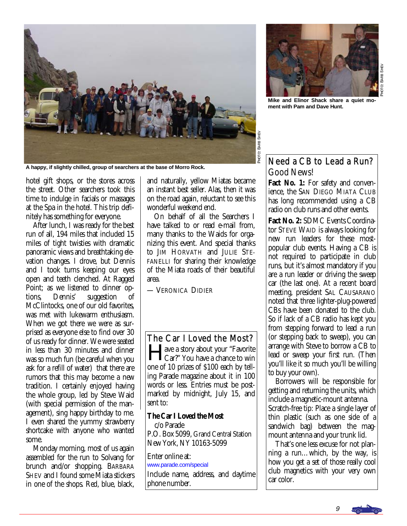

**A happy, if slightly chilled, group of searchers at the base of Morro Rock.** 

hotel gift shops, or the stores across the street. Other searchers took this time to indulge in facials or massages at the Spa in the hotel. This trip definitely has something for everyone.

 After lunch, I was ready for the best run of all, 194 miles that included 15 miles of tight twisties with dramatic panoramic views and breathtaking elevation changes. I drove, but Dennis and I took turns keeping our eyes open and teeth clenched. At Ragged Point; as we listened to dinner options, Dennis' suggestion of McClintocks, one of our old favorites. was met with lukewarm enthusiasm. When we got there we were as surprised as everyone else to find over 30 of us ready for dinner. We were seated in less than 30 minutes and dinner was so much fun (be careful when you ask for a refill of water) that there are rumors that this may become a new tradition. I certainly enjoyed having the whole group, led by Steve Waid (with special permission of the management), sing happy birthday to me. I even shared the yummy strawberry shortcake with anyone who wanted some.

 Monday morning, most of us again assembled for the run to Solvang for brunch and/or shopping. BARBARA SHEV and I found some Miata stickers in one of the shops. Red, blue, black,

and naturally, yellow Miatas became an instant best seller. Alas, then it was on the road again, reluctant to see this wonderful weekend end.

 On behalf of all the Searchers I have talked to or read e-mail from, many thanks to the Waids for organizing this event. And special thanks to JIM HORVATH and JULIE STE-FANELLI for sharing their knowledge of the Miata roads of their beautiful area.

— VERONICA DIDIER

The Car I Loved the Most? ave a story about your "Favorite" Car?" You have a chance to win one of 10 prizes of \$100 each by telling Parade magazine about it in 100

words or less. Entries must be postmarked by midnight, July 15, and sent to:

#### **The Car I Loved the Most**

 c/o Parade P.O. Box 5099, Grand Central Station New York, NY 10163-5099

Enter online at: [www.parade.com/special](http://www.parade.com/special) 

Include name, address, and daytime phone number.



PHOTO: BARB SHEN O: BARB SHEV

**Mike and Elinor Shack share a quiet moment with Pam and Dave Hunt.** 

#### Need a CB to Lead a Run? Good News!

D: BARB SHEV

Fact No. 1: For safety and convenience, the SAN DIEGO MIATA CLUB has long recommended using a CB radio on club runs and other events.

**Fact No. 2:** SDMC Events Coordinator STEVE WAID is always looking for new run leaders for these mostpopular club events. Having a CB is not required to participate in club runs, but it's almost mandatory if you are a run leader or driving the sweep car (the last one). At a recent board meeting, president SAL CAUSARANO noted that three lighter-plug-powered CBs have been donated to the club. So if lack of a CB radio has kept you from stepping forward to lead a run (or stepping back to sweep), you can arrange with Steve to borrow a CB to lead or sweep your first run. (Then you'll like it so much you'll be willing to buy your own).

 Borrowers will be responsible for getting and returning the units, which include a magnetic-mount antenna. Scratch-free tip: Place a single layer of thin plastic (such as one side of a sandwich bag) between the magmount antenna and your trunk lid.

 That's one less excuse for not planning a run…which, by the way, is how you get a set of those really cool club magnetics with your very own car color.

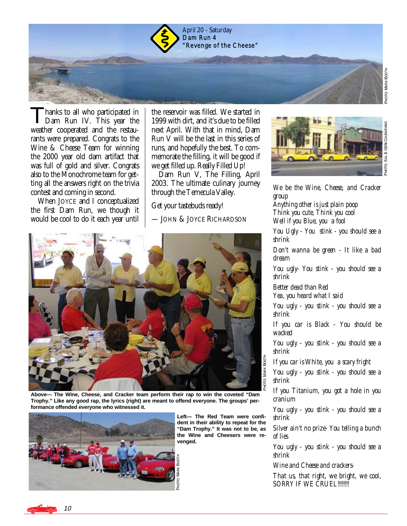

hanks to all who participated in Dam Run IV. This year the weather cooperated and the restaurants were prepared. Congrats to the Wine & Cheese Team for winning the 2000 year old dam artifact that was full of gold and silver. Congrats also to the Monochrome team for getting all the answers right on the trivia contest and coming in second.

 When JOYCE and I conceptualized the first Dam Run, we though it would be cool to do it each year until

the reservoir was filled. We started in 1999 with dirt, and it's due to be filled next April. With that in mind, Dam Run V will be the last in this series of runs, and hopefully the best. To commemorate the filling, it will be good if we get filled up. Really Filled Up!

 Dam Run V, The Filling, April 2003. The ultimate culinary journey through the Temecula Valley.

Get your tastebuds ready!

— JOHN & JOYCE RICHARDSON



**Above— The Wine, Cheese, and Cracker team perform their rap to win the coveted "Dam Trophy." Like any good rap, the lyrics (right) are meant to offend everyone. The groups' performance offended everyone who witnessed it.** 

J.



**Left— The Red Team were confident in their ability to repeat for the "Dam Trophy." It was not to be, as the Wine and Cheesers were revenged.** 

TGH<br>P

D: MARK BOOT

г



*We be the Wine, Cheese, and Cracker group Anything other is just plain poop Think you cute, Think you cool Well if you Blue, you a fool You Ugly - You stink - you should see a shrink Don't wanna be green - It like a bad dream You ugly- You stink - you should see a shrink Better dead than Red Yea, you heard what I said You ugly - you stink - you should see a shrink If you car is Black - You should be wacked You ugly - you stink - you should see a shrink If you car is White, you a scary fright You ugly - you stink - you should see a shrink If you Titanium, you got a hole in you cranium You ugly - you stink - you should see a* 

*shrink Silver ain't no prize- You telling a bunch of lies* 

*You ugly - you stink - you should see a shrink* 

*Wine and Cheese and crackers-*

*That us, that right, we bright, we cool, SORRY IF WE CRUEL!!!!!!!!* 

10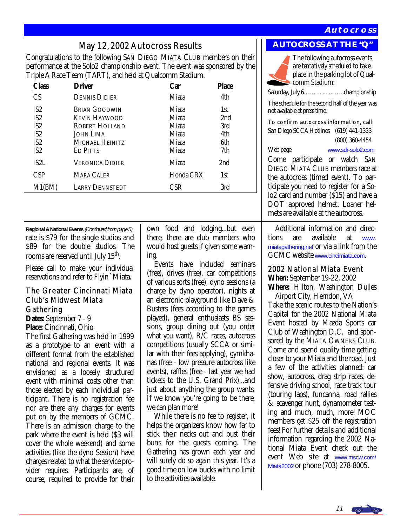#### **Autocross**

May 12, 2002 Autocross Results **AUTOCROSS AT THE "Q"**<br>Congratulations to the following SAN DIEGO MIATA CLUB members on their performance at the Solo2 championship event. The event was sponsored by the Triple A Race Team (TART), and held at Qualcomm Stadium.

| Class                                                                                                          | <b>Driver</b>                                                                                              | Car                                                | <b>Place</b>                           |
|----------------------------------------------------------------------------------------------------------------|------------------------------------------------------------------------------------------------------------|----------------------------------------------------|----------------------------------------|
| CS                                                                                                             | <b>DENNIS DIDIER</b>                                                                                       | Miata                                              | 4th                                    |
| IS <sub>2</sub><br>IS <sub>2</sub><br>IS <sub>2</sub><br>IS <sub>2</sub><br>IS <sub>2</sub><br>IS <sub>2</sub> | <b>BRIAN GOODWIN</b><br><b>KEVIN HAYWOOD</b><br>ROBERT HOLLAND<br>John Lima<br>MICHAEL HEINITZ<br>ED PITTS | Miata<br>Miata<br>Miata<br>Miata<br>Miata<br>Miata | 1st<br>2nd<br>3rd<br>4th<br>6th<br>7th |
| IS2L<br><b>CSP</b>                                                                                             | <b>VERONICA DIDIER</b><br>MARA CALER                                                                       | Miata<br>Honda CRX                                 | 2 <sub>nd</sub><br>1st                 |
| M1(BM)                                                                                                         | <b>LARRY DENNSTEDT</b>                                                                                     | CSR                                                | 3rd                                    |

**Regional & National Events** (Continued from page 5) rate is \$79 for the single studios and \$89 for the double studios. The rooms are reserved until July 15<sup>th</sup>.

Please call to make your individual reservations and refer to Flyin´ Miata.

#### The Greater Cincinnati Miata Club's Midwest Miata Gathering

**Dates:** September 7 - 9 **Place:** Cincinnati, Ohio

The first Gathering was held in 1999 as a prototype to an event with a different format from the established national and regional events. It was envisioned as a loosely structured event with minimal costs other than those elected by each individual participant. There is no registration fee nor are there any charges for events put on by the members of GCMC. There is an admission charge to the park where the event is held (\$3 will cover the whole weekend) and some activities (like the dyno Session) have charges related to what the service provider requires. Participants are, of course, required to provide for their

own food and lodging...but even there, there are club members who would host guests if given some warning.

 Events have included seminars (free), drives (free), car competitions of various sorts (free), dyno sessions (a charge by dyno operator), nights at an electronic playground like Dave & Busters (fees according to the games played), general enthusiasts BS sessions, group dining out (you order what *you* want), R/C races, autocross competitions (usually SCCA or similar with their fees applying), gymkhanas (free - low pressure autocross like events), raffles (free - last year we had tickets to the U.S. Grand Prix)...and just about anything the group wants. If we know you're going to be there, we can plan more!

 While there is no fee to register, it helps the organizers know how far to stick their necks out and bust their buns for the guests coming. The Gathering has grown each year and will surely do so again this year. It's a good time on low bucks with no limit to the activities available.



The following autocross events are *tentatively scheduled* to take place in the parking lot of Qualcomm Stadium:

Saturday, July 6………………..championship

The schedule for the second half of the year was not available at press time.

To confirm autocross information, call: San Diego SCCA Hotlines (619) 441-1333

(800) 360-4454

Web page [www.sdr-solo2.com](http://www.sdr-solo2.com)

Come participate or watch SAN DIEGO MIATA CLUB members race at the autocross (timed event). To participate you need to register for a Solo2 card and number (\$15) and have a DOT approved helmet. Loaner helmets are available at the autocross.

 Additional information and directions are available at [www.](http://www.miatagathering.net) [miatagathering.net](http://www.miatagathering.net) or via a link from the GCMC website [www.cincimiata.com](http://www.cincimiata.com).

#### 2002 National Miata Event

**When:** September 19-22, 2002

**Where:** Hilton, Washington Dulles Airport City, Herndon, VA

Take the scenic routes to the Nation's Capital for the 2002 National Miata Event hosted by Mazda Sports car Club of Washington D.C. and sponsored by the MIATA OWNERS CLUB. Come and spend quality time getting closer to your Miata and the road. Just a few of the activities planned: car show, autocross, drag strip races, defensive driving school, race track tour (touring laps), funcanna, road rallies & scavenger hunt, dynamometer testing and much, much, more! MOC members get \$25 off the registration fees! For further details and additional information regarding the 2002 National Miata Event check out the event Web site at [www.mscw.com/](http://www.mscw.com/Miata2002) [Miata2002](http://www.mscw.com/Miata2002) or phone (703) 278-8005.

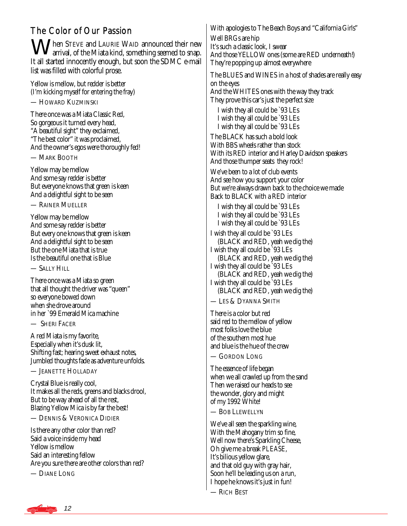## The Color of Our Passion

When STEVE and LAURIE WAID announced their new arrival, of the Miata kind, something seemed to snap. It all started innocently enough, but soon the SDMC e-mail list was filled with colorful prose.

Yellow is mellow, but redder is better (I'm kicking myself for entering the fray)

— HOWARD KUZMINSKI

There once was a Miata Classic Red, So gorgeous it turned every head, "A beautiful sight" they exclaimed, "The best color" it was proclaimed, And the owner's egos were thoroughly fed!

— MARK BOOTH

Yellow may be mellow And some say redder is better But everyone knows that green is keen And a delightful sight to be seen

— RAINER MUELLER

Yellow may be mellow And some say redder is better But every one knows that green is keen And a delightful sight to be seen But the one Miata that is true Is the beautiful one that is Blue

 $-$  Sally Hill

There once was a Miata so green that all thought the driver was "queen" so everyone bowed down when she drove around in her `99 Emerald Mica machine

— SHERI FACER

A red Miata is my favorite, Especially when it's dusk lit, Shifting fast; hearing sweet exhaust notes, Jumbled thoughts fade as adventure unfolds.

— JEANETTE HOLLADAY

Crystal Blue is really cool, It makes all the reds, greens and blacks drool, But to be way ahead of all the rest, Blazing Yellow Mica is by far the best!

— DENNIS & VERONICA DIDIER

Is there any other color than red? Said a voice inside my head Yellow is mellow Said an interesting fellow Are you sure there are other colors than red?

— DIANE LONG

With apologies to The Beach Boys and "California Girls" Well BRGs are hip It's such a classic look, I swear And those YELLOW ones (some are RED underneath!) They're popping up almost everywhere The BLUES and WINES in a host of shades are really easy on the eyes And the WHITES ones with the way they track They prove this car's just the perfect size I wish they all could be `93 LEs I wish they all could be `93 LEs I wish they all could be `93 LEs The BLACK has such a bold look With BBS wheels rather than stock With its RED interior and Harley Davidson speakers And those thumper seats they rock! We've been to a lot of club events And see how you support your color But we're always drawn back to the choice we made Back to BLACK with a RED interior I wish they all could be `93 LEs I wish they all could be `93 LEs I wish they all could be `93 LEs I wish they all could be `93 LEs (BLACK and RED, yeah we dig the) I wish they all could be `93 LEs (BLACK and RED, yeah we dig the) I wish they all could be `93 LEs (BLACK and RED, yeah we dig the) I wish they all could be `93 LEs (BLACK and RED, yeah we dig the)

— LES & DYANNA SMITH

There is a color but red said red to the mellow of yellow most folks love the blue of the southern most hue and blue is the hue of the crew

— GORDON LONG

The essence of life began when we all crawled up from the sand Then we raised our heads to see the wonder, glory and might of my 1992 White!

— BOB LLEWELLYN

We've all seen the sparkling wine, With the Mahogany trim so fine, Well now there's Sparkling Cheese, Oh give me a break *PLEASE*, It's bilious yellow glare, and that old guy with gray hair, Soon he'll be leading us on a run, I hope he knows it's just in fun!

— RICH BEST